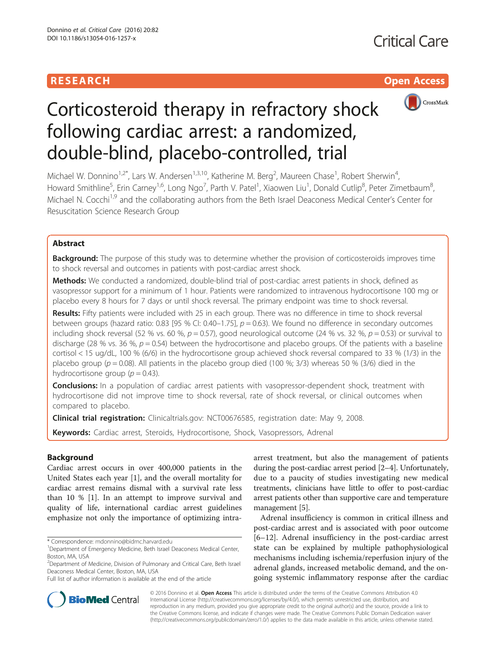# **RESEARCH CHE Open Access**



# Corticosteroid therapy in refractory shock following cardiac arrest: a randomized, double-blind, placebo-controlled, trial

Michael W. Donnino<sup>1,2\*</sup>, Lars W. Andersen<sup>1,3,10</sup>, Katherine M. Berg<sup>2</sup>, Maureen Chase<sup>1</sup>, Robert Sherwin<sup>4</sup> , Howard Smithline<sup>5</sup>, Erin Carney<sup>1,6</sup>, Long Ngo<sup>7</sup>, Parth V. Patel<sup>1</sup>, Xiaowen Liu<sup>1</sup>, Donald Cutlip<sup>8</sup>, Peter Zimetbaum<sup>8</sup> , Michael N. Cocchi<sup>1,9</sup> and the collaborating authors from the Beth Israel Deaconess Medical Center's Center for Resuscitation Science Research Group

# Abstract

**Background:** The purpose of this study was to determine whether the provision of corticosteroids improves time to shock reversal and outcomes in patients with post-cardiac arrest shock.

Methods: We conducted a randomized, double-blind trial of post-cardiac arrest patients in shock, defined as vasopressor support for a minimum of 1 hour. Patients were randomized to intravenous hydrocortisone 100 mg or placebo every 8 hours for 7 days or until shock reversal. The primary endpoint was time to shock reversal.

Results: Fifty patients were included with 25 in each group. There was no difference in time to shock reversal between groups (hazard ratio: 0.83 [95 % CI: 0.40–1.75],  $p = 0.63$ ). We found no difference in secondary outcomes including shock reversal (52 % vs. 60 %,  $p = 0.57$ ), good neurological outcome (24 % vs. 32 %,  $p = 0.53$ ) or survival to discharge (28 % vs. 36 %,  $p = 0.54$ ) between the hydrocortisone and placebo groups. Of the patients with a baseline cortisol < 15 ug/dL, 100 % (6/6) in the hydrocortisone group achieved shock reversal compared to 33 % (1/3) in the placebo group ( $p = 0.08$ ). All patients in the placebo group died (100 %; 3/3) whereas 50 % (3/6) died in the hydrocortisone group ( $p = 0.43$ ).

**Conclusions:** In a population of cardiac arrest patients with vasopressor-dependent shock, treatment with hydrocortisone did not improve time to shock reversal, rate of shock reversal, or clinical outcomes when compared to placebo.

Clinical trial registration: Clinicaltrials.gov: [NCT00676585,](https://clinicaltrials.gov/ct2/show/NCT00676585?term=donnino&rank=8) registration date: May 9, 2008.

Keywords: Cardiac arrest, Steroids, Hydrocortisone, Shock, Vasopressors, Adrenal

# Background

Cardiac arrest occurs in over 400,000 patients in the United States each year [\[1\]](#page-6-0), and the overall mortality for cardiac arrest remains dismal with a survival rate less than 10 % [[1\]](#page-6-0). In an attempt to improve survival and quality of life, international cardiac arrest guidelines emphasize not only the importance of optimizing intra-

arrest treatment, but also the management of patients during the post-cardiac arrest period [\[2](#page-6-0)–[4\]](#page-6-0). Unfortunately, due to a paucity of studies investigating new medical treatments, clinicians have little to offer to post-cardiac arrest patients other than supportive care and temperature management [\[5](#page-6-0)].

Adrenal insufficiency is common in critical illness and post-cardiac arrest and is associated with poor outcome [[6](#page-6-0)–[12\]](#page-6-0). Adrenal insufficiency in the post-cardiac arrest state can be explained by multiple pathophysiological mechanisms including ischemia/reperfusion injury of the adrenal glands, increased metabolic demand, and the ongoing systemic inflammatory response after the cardiac



© 2016 Donnino et al. Open Access This article is distributed under the terms of the Creative Commons Attribution 4.0 International License [\(http://creativecommons.org/licenses/by/4.0/](http://creativecommons.org/licenses/by/4.0/)), which permits unrestricted use, distribution, and reproduction in any medium, provided you give appropriate credit to the original author(s) and the source, provide a link to the Creative Commons license, and indicate if changes were made. The Creative Commons Public Domain Dedication waiver [\(http://creativecommons.org/publicdomain/zero/1.0/](http://creativecommons.org/publicdomain/zero/1.0/)) applies to the data made available in this article, unless otherwise stated.

<sup>\*</sup> Correspondence: [mdonnino@bidmc.harvard.edu](mailto:mdonnino@bidmc.harvard.edu) <sup>1</sup>

<sup>&</sup>lt;sup>1</sup>Department of Emergency Medicine, Beth Israel Deaconess Medical Center, Boston, MA, USA

<sup>&</sup>lt;sup>2</sup>Department of Medicine, Division of Pulmonary and Critical Care, Beth Israel Deaconess Medical Center, Boston, MA, USA

Full list of author information is available at the end of the article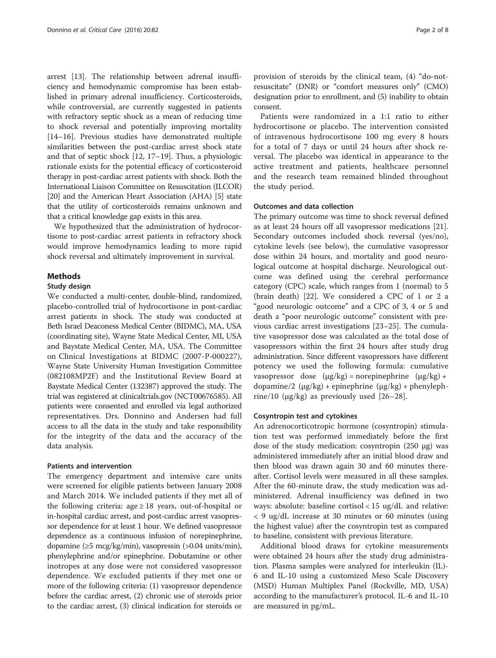arrest [[13\]](#page-6-0). The relationship between adrenal insufficiency and hemodynamic compromise has been established in primary adrenal insufficiency. Corticosteroids, while controversial, are currently suggested in patients with refractory septic shock as a mean of reducing time to shock reversal and potentially improving mortality [[14](#page-6-0)–[16](#page-7-0)]. Previous studies have demonstrated multiple similarities between the post-cardiac arrest shock state and that of septic shock [[12,](#page-6-0) [17](#page-7-0)–[19](#page-7-0)]. Thus, a physiologic rationale exists for the potential efficacy of corticosteroid therapy in post-cardiac arrest patients with shock. Both the International Liaison Committee on Resuscitation (ILCOR) [[20](#page-7-0)] and the American Heart Association (AHA) [\[5\]](#page-6-0) state that the utility of corticosteroids remains unknown and that a critical knowledge gap exists in this area.

We hypothesized that the administration of hydrocortisone to post-cardiac arrest patients in refractory shock would improve hemodynamics leading to more rapid shock reversal and ultimately improvement in survival.

## Methods

### Study design

We conducted a multi-center, double-blind, randomized, placebo-controlled trial of hydrocortisone in post-cardiac arrest patients in shock. The study was conducted at Beth Israel Deaconess Medical Center (BIDMC), MA, USA (coordinating site), Wayne State Medical Center, MI, USA and Baystate Medical Center, MA, USA. The Committee on Clinical Investigations at BIDMC (2007-P-000227), Wayne State University Human Investigation Committee (082108MP2F) and the Institutional Review Board at Baystate Medical Center (132387) approved the study. The trial was registered at clinicaltrials.gov (NCT00676585). All patients were consented and enrolled via legal authorized representatives. Drs. Donnino and Andersen had full access to all the data in the study and take responsibility for the integrity of the data and the accuracy of the data analysis.

# Patients and intervention

The emergency department and intensive care units were screened for eligible patients between January 2008 and March 2014. We included patients if they met all of the following criteria: age  $\geq 18$  years, out-of-hospital or in-hospital cardiac arrest, and post-cardiac arrest vasopressor dependence for at least 1 hour. We defined vasopressor dependence as a continuous infusion of norepinephrine, dopamine (≥5 mcg/kg/min), vasopressin (>0.04 units/min), phenylephrine and/or epinephrine. Dobutamine or other inotropes at any dose were not considered vasopressor dependence. We excluded patients if they met one or more of the following criteria: (1) vasopressor dependence before the cardiac arrest, (2) chronic use of steroids prior to the cardiac arrest, (3) clinical indication for steroids or

provision of steroids by the clinical team, (4) "do-notresuscitate" (DNR) or "comfort measures only" (CMO) designation prior to enrollment, and (5) inability to obtain consent.

Patients were randomized in a 1:1 ratio to either hydrocortisone or placebo. The intervention consisted of intravenous hydrocortisone 100 mg every 8 hours for a total of 7 days or until 24 hours after shock reversal. The placebo was identical in appearance to the active treatment and patients, healthcare personnel and the research team remained blinded throughout the study period.

#### Outcomes and data collection

The primary outcome was time to shock reversal defined as at least 24 hours off all vasopressor medications [\[21](#page-7-0)]. Secondary outcomes included shock reversal (yes/no), cytokine levels (see below), the cumulative vasopressor dose within 24 hours, and mortality and good neurological outcome at hospital discharge. Neurological outcome was defined using the cerebral performance category (CPC) scale, which ranges from 1 (normal) to 5 (brain death) [[22](#page-7-0)]. We considered a CPC of 1 or 2 a "good neurologic outcome" and a CPC of 3, 4 or 5 and death a "poor neurologic outcome" consistent with previous cardiac arrest investigations [[23](#page-7-0)–[25](#page-7-0)]. The cumulative vasopressor dose was calculated as the total dose of vasopressors within the first 24 hours after study drug administration. Since different vasopressors have different potency we used the following formula: cumulative vasopressor dose  $(\mu g/kg)$  = norepinephrine  $(\mu g/kg)$  + dopamine/2 (μg/kg) + epinephrine (μg/kg) + phenylephrine/10 ( $\mu$ g/kg) as previously used [[26](#page-7-0)–[28\]](#page-7-0).

#### Cosyntropin test and cytokines

An adrenocorticotropic hormone (cosyntropin) stimulation test was performed immediately before the first dose of the study medication: cosyntropin (250 μg) was administered immediately after an initial blood draw and then blood was drawn again 30 and 60 minutes thereafter. Cortisol levels were measured in all these samples. After the 60-minute draw, the study medication was administered. Adrenal insufficiency was defined in two ways: absolute: baseline cortisol < 15 ug/dL and relative: < 9 ug/dL increase at 30 minutes or 60 minutes (using the highest value) after the cosyntropin test as compared to baseline, consistent with previous literature.

Additional blood draws for cytokine measurements were obtained 24 hours after the study drug administration. Plasma samples were analyzed for interleukin (IL)- 6 and IL-10 using a customized Meso Scale Discovery (MSD) Human Multiplex Panel (Rockville, MD, USA) according to the manufacturer's protocol. IL-6 and IL-10 are measured in pg/mL.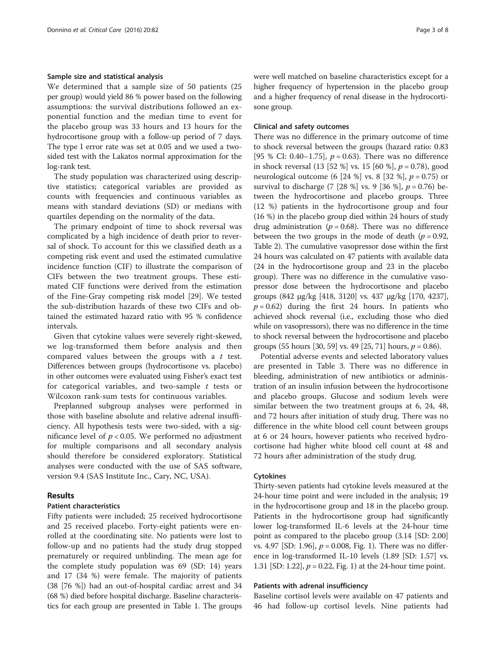#### Sample size and statistical analysis

We determined that a sample size of 50 patients (25 per group) would yield 86 % power based on the following assumptions: the survival distributions followed an exponential function and the median time to event for the placebo group was 33 hours and 13 hours for the hydrocortisone group with a follow-up period of 7 days. The type I error rate was set at 0.05 and we used a twosided test with the Lakatos normal approximation for the log-rank test.

The study population was characterized using descriptive statistics; categorical variables are provided as counts with frequencies and continuous variables as means with standard deviations (SD) or medians with quartiles depending on the normality of the data.

The primary endpoint of time to shock reversal was complicated by a high incidence of death prior to reversal of shock. To account for this we classified death as a competing risk event and used the estimated cumulative incidence function (CIF) to illustrate the comparison of CIFs between the two treatment groups. These estimated CIF functions were derived from the estimation of the Fine-Gray competing risk model [[29\]](#page-7-0). We tested the sub-distribution hazards of these two CIFs and obtained the estimated hazard ratio with 95 % confidence intervals.

Given that cytokine values were severely right-skewed, we log-transformed them before analysis and then compared values between the groups with a  $t$  test. Differences between groups (hydrocortisone vs. placebo) in other outcomes were evaluated using Fisher's exact test for categorical variables, and two-sample  $t$  tests or Wilcoxon rank-sum tests for continuous variables.

Preplanned subgroup analyses were performed in those with baseline absolute and relative adrenal insufficiency. All hypothesis tests were two-sided, with a significance level of  $p < 0.05$ . We performed no adjustment for multiple comparisons and all secondary analysis should therefore be considered exploratory. Statistical analyses were conducted with the use of SAS software, version 9.4 (SAS Institute Inc., Cary, NC, USA).

### Results

# Patient characteristics

Fifty patients were included; 25 received hydrocortisone and 25 received placebo. Forty-eight patients were enrolled at the coordinating site. No patients were lost to follow-up and no patients had the study drug stopped prematurely or required unblinding. The mean age for the complete study population was 69 (SD: 14) years and 17 (34 %) were female. The majority of patients (38 [76 %]) had an out-of-hospital cardiac arrest and 34 (68 %) died before hospital discharge. Baseline characteristics for each group are presented in Table [1](#page-3-0). The groups were well matched on baseline characteristics except for a higher frequency of hypertension in the placebo group and a higher frequency of renal disease in the hydrocortisone group.

#### Clinical and safety outcomes

There was no difference in the primary outcome of time to shock reversal between the groups (hazard ratio: 0.83 [95 % CI: 0.40–1.75],  $p = 0.63$ ). There was no difference in shock reversal (13 [52 %] vs. 15 [60 %],  $p = 0.78$ ), good neurological outcome (6 [24 %] vs. 8 [32 %],  $p = 0.75$ ) or survival to discharge (7 [28 %] vs. 9 [36 %],  $p = 0.76$ ) between the hydrocortisone and placebo groups. Three (12 %) patients in the hydrocortisone group and four (16 %) in the placebo group died within 24 hours of study drug administration ( $p = 0.68$ ). There was no difference between the two groups in the mode of death ( $p = 0.92$ , Table [2](#page-4-0)). The cumulative vasopressor dose within the first 24 hours was calculated on 47 patients with available data (24 in the hydrocortisone group and 23 in the placebo group). There was no difference in the cumulative vasopressor dose between the hydrocortisone and placebo groups (842 μg/kg [418, 3120] vs. 437 μg/kg [170, 4237],  $p = 0.62$ ) during the first 24 hours. In patients who achieved shock reversal (i.e., excluding those who died while on vasopressors), there was no difference in the time to shock reversal between the hydrocortisone and placebo groups (55 hours [30, 59] vs. 49 [25, 71] hours,  $p = 0.86$ ).

Potential adverse events and selected laboratory values are presented in Table [3](#page-4-0). There was no difference in bleeding, administration of new antibiotics or administration of an insulin infusion between the hydrocortisone and placebo groups. Glucose and sodium levels were similar between the two treatment groups at 6, 24, 48, and 72 hours after initiation of study drug. There was no difference in the white blood cell count between groups at 6 or 24 hours, however patients who received hydrocortisone had higher white blood cell count at 48 and 72 hours after administration of the study drug.

#### Cytokines

Thirty-seven patients had cytokine levels measured at the 24-hour time point and were included in the analysis; 19 in the hydrocortisone group and 18 in the placebo group. Patients in the hydrocortisone group had significantly lower log-transformed IL-6 levels at the 24-hour time point as compared to the placebo group (3.14 [SD: 2.00] vs. 4.97 [SD: 1.96],  $p = 0.008$ , Fig. [1\)](#page-5-0). There was no difference in log-transformed IL-10 levels (1.89 [SD: 1.57] vs. 1.31 [SD: [1](#page-5-0).22],  $p = 0.22$ , Fig. 1) at the 24-hour time point.

#### Patients with adrenal insufficiency

Baseline cortisol levels were available on 47 patients and 46 had follow-up cortisol levels. Nine patients had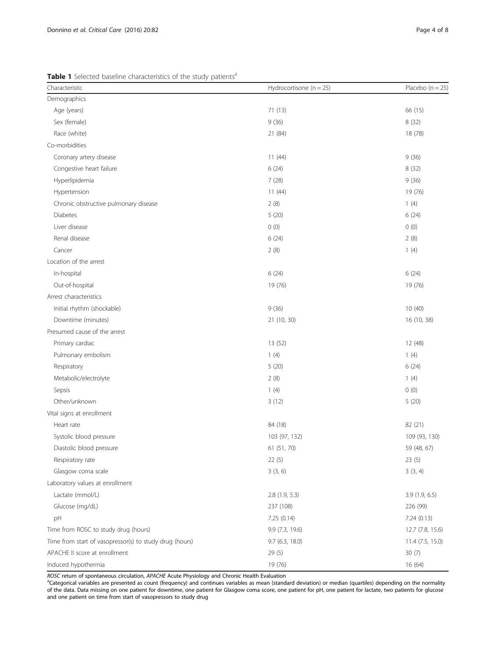<span id="page-3-0"></span>Table 1 Selected baseline characteristics of the study patients<sup>a</sup>

| Characteristic                                          | Hydrocortisone ( $n = 25$ ) | Placebo ( $n = 25$ ) |
|---------------------------------------------------------|-----------------------------|----------------------|
| Demographics                                            |                             |                      |
| Age (years)                                             | 71 (13)                     | 66 (15)              |
| Sex (female)                                            | 9(36)                       | 8(32)                |
| Race (white)                                            | 21 (84)                     | 18 (78)              |
| Co-morbidities                                          |                             |                      |
| Coronary artery disease                                 | 11(44)                      | 9(36)                |
| Congestive heart failure                                | 6(24)                       | 8(32)                |
| Hyperlipidemia                                          | 7(28)                       | 9(36)                |
| Hypertension                                            | 11(44)                      | 19 (76)              |
| Chronic obstructive pulmonary disease                   | 2(8)                        | 1(4)                 |
| <b>Diabetes</b>                                         | 5(20)                       | 6(24)                |
| Liver disease                                           | 0(0)                        | 0(0)                 |
| Renal disease                                           | 6(24)                       | 2(8)                 |
| Cancer                                                  | 2(8)                        | 1(4)                 |
| Location of the arrest                                  |                             |                      |
| In-hospital                                             | 6(24)                       | 6(24)                |
| Out-of-hospital                                         | 19 (76)                     | 19 (76)              |
| Arrest characteristics                                  |                             |                      |
| Initial rhythm (shockable)                              | 9(36)                       | 10(40)               |
| Downtime (minutes)                                      | 21 (10, 30)                 | 16 (10, 38)          |
| Presumed cause of the arrest                            |                             |                      |
| Primary cardiac                                         | 13 (52)                     | 12 (48)              |
| Pulmonary embolism                                      | 1(4)                        | 1(4)                 |
| Respiratory                                             | 5(20)                       | 6(24)                |
| Metabolic/electrolyte                                   | 2(8)                        | 1(4)                 |
| Sepsis                                                  | 1(4)                        | 0(0)                 |
| Other/unknown                                           | 3(12)                       | 5(20)                |
| Vital signs at enrollment                               |                             |                      |
| Heart rate                                              | 84 (18)                     | 82 (21)              |
| Systolic blood pressure                                 | 103 (97, 132)               | 109 (93, 130)        |
| Diastolic blood pressure                                | 61 (51, 70)                 | 59 (48, 67)          |
| Respiratory rate                                        | 22(5)                       | 23(5)                |
| Glasgow coma scale                                      | 3(3, 6)                     | 3(3, 4)              |
| Laboratory values at enrollment                         |                             |                      |
| Lactate (mmol/L)                                        | 2.8(1.9, 5.3)               | 3.9 (1.9, 6.5)       |
| Glucose (mg/dL)                                         | 237 (108)                   | 226 (99)             |
| pH                                                      | 7.25 (0.14)                 | 7.24(0.13)           |
| Time from ROSC to study drug (hours)                    | 9.9 (7.3, 19.6)             | 12.7 (7.8, 15.6)     |
| Time from start of vasopressor(s) to study drug (hours) | 9.7(6.3, 18.0)              | 11.4 (7.5, 15.0)     |
| APACHE II score at enrollment                           | 29(5)                       | 30(7)                |
| Induced hypothermia                                     | 19 (76)                     | 16 (64)              |

ROSC return of spontaneous circulation, APACHE Acute Physiology and Chronic Health Evaluation

<sup>a</sup>Categorical variables are presented as count (frequency) and continues variables as mean (standard deviation) or median (quartiles) depending on the normality of the data. Data missing on one patient for downtime, one patient for Glasgow coma score, one patient for pH, one patient for lactate, two patients for glucose and one patient on time from start of vasopressors to study drug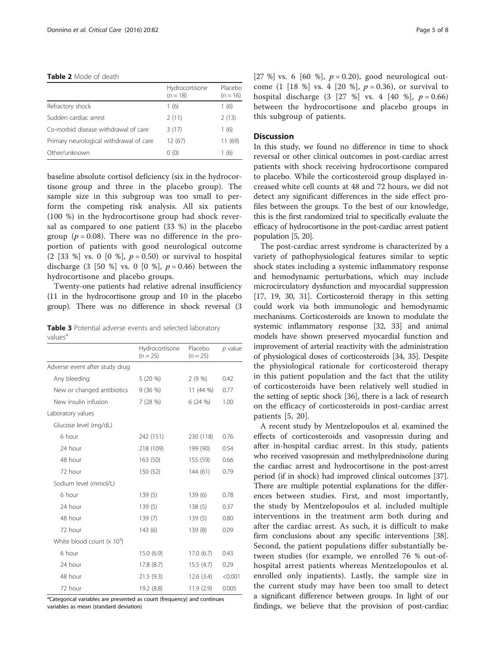#### <span id="page-4-0"></span>Table 2 Mode of death

|                                         | Hydrocortisone<br>$(n = 18)$ | Placebo<br>$(n = 16)$ |
|-----------------------------------------|------------------------------|-----------------------|
| Refractory shock                        | 1(6)                         | 1(6)                  |
| Sudden cardiac arrest                   | 2(11)                        | 2(13)                 |
| Co-morbid disease withdrawal of care    | 3(17)                        | 1(6)                  |
| Primary neurological withdrawal of care | 12(67)                       | 11 (69)               |
| Other/unknown                           | (0)(0)                       | (6)                   |

baseline absolute cortisol deficiency (six in the hydrocortisone group and three in the placebo group). The sample size in this subgroup was too small to perform the competing risk analysis. All six patients (100 %) in the hydrocortisone group had shock reversal as compared to one patient (33 %) in the placebo group ( $p = 0.08$ ). There was no difference in the proportion of patients with good neurological outcome (2 [33 %] vs. 0 [0 %],  $p = 0.50$  or survival to hospital discharge (3 [50 %] vs. 0 [0 %],  $p = 0.46$ ) between the hydrocortisone and placebo groups.

Twenty-one patients had relative adrenal insufficiency (11 in the hydrocortisone group and 10 in the placebo group). There was no difference in shock reversal (3

Table 3 Potential adverse events and selected laboratory values<sup>a</sup>

|                                | Hydrocortisone<br>$(n = 25)$ | Placebo<br>$(n = 25)$ | p value |
|--------------------------------|------------------------------|-----------------------|---------|
| Adverse event after study drug |                              |                       |         |
| Any bleeding                   | $5(20\%)$                    | 2(9%)                 | 0.42    |
| New or changed antibiotics     | 9(36%)                       | 11 (44 %)             | 0.77    |
| New insulin infusion           | 7(28%)                       | 6(24%)                | 1.00    |
| Laboratory values              |                              |                       |         |
| Glucose level (mg/dL)          |                              |                       |         |
| 6 hour                         | 242 (151)                    | 230 (118)             | 0.76    |
| 24 hour                        | 218 (109)                    | 199 (90)              | 0.54    |
| 48 hour                        | 163(50)                      | 155 (59)              | 0.66    |
| 72 hour                        | 150 (52)                     | 144(61)               | 0.79    |
| Sodium level (mmol/L)          |                              |                       |         |
| 6 hour                         | 139(5)                       | 139(6)                | 0.78    |
| 24 hour                        | 139(5)                       | 138(5)                | 0.37    |
| 48 hour                        | 139(7)                       | 139(5)                | 0.80    |
| 72 hour                        | 143(6)                       | 139(8)                | 0.09    |
| White blood count $(x 103)$    |                              |                       |         |
| 6 hour                         | 15.0(6.9)                    | 17.0(6.7)             | 0.43    |
| 24 hour                        | 17.8 (8.7)                   | 15.5(4.7)             | 0.29    |
| 48 hour                        | 21.5(9.3)                    | 12.6(3.4)             | < 0.001 |
| 72 hour                        | 19.2 (8.8)                   | 11.9(2.9)             | 0.005   |

<sup>a</sup>Categorical variables are presented as count (frequency) and continues variables as mean (standard deviation)

[27 %] vs. 6 [60 %],  $p = 0.20$ ), good neurological outcome (1 [18 %] vs. 4 [20 %],  $p = 0.36$ ), or survival to hospital discharge  $(3 [27 \%] \text{ vs. } 4 [40 \%], p = 0.66)$ between the hydrocortisone and placebo groups in this subgroup of patients.

# **Discussion**

In this study, we found no difference in time to shock reversal or other clinical outcomes in post-cardiac arrest patients with shock receiving hydrocortisone compared to placebo. While the corticosteroid group displayed increased white cell counts at 48 and 72 hours, we did not detect any significant differences in the side effect profiles between the groups. To the best of our knowledge, this is the first randomized trial to specifically evaluate the efficacy of hydrocortisone in the post-cardiac arrest patient population [\[5,](#page-6-0) [20\]](#page-7-0).

The post-cardiac arrest syndrome is characterized by a variety of pathophysiological features similar to septic shock states including a systemic inflammatory response and hemodynamic perturbations, which may include microcirculatory dysfunction and myocardial suppression [[17](#page-7-0), [19, 30](#page-7-0), [31](#page-7-0)]. Corticosteroid therapy in this setting could work via both immunologic and hemodynamic mechanisms. Corticosteroids are known to modulate the systemic inflammatory response [[32](#page-7-0), [33\]](#page-7-0) and animal models have shown preserved myocardial function and improvement of arterial reactivity with the administration of physiological doses of corticosteroids [\[34](#page-7-0), [35\]](#page-7-0). Despite the physiological rationale for corticosteroid therapy in this patient population and the fact that the utility of corticosteroids have been relatively well studied in the setting of septic shock [[36](#page-7-0)], there is a lack of research on the efficacy of corticosteroids in post-cardiac arrest patients [[5,](#page-6-0) [20](#page-7-0)].

A recent study by Mentzelopoulos et al. examined the effects of corticosteroids and vasopressin during and after in-hospital cardiac arrest. In this study, patients who received vasopressin and methylprednisolone during the cardiac arrest and hydrocortisone in the post-arrest period (if in shock) had improved clinical outcomes [[37](#page-7-0)]. There are multiple potential explanations for the differences between studies. First, and most importantly, the study by Mentzelopoulos et al. included multiple interventions in the treatment arm both during and after the cardiac arrest. As such, it is difficult to make firm conclusions about any specific interventions [[38](#page-7-0)]. Second, the patient populations differ substantially between studies (for example, we enrolled 76 % out-ofhospital arrest patients whereas Mentzelopoulos et al. enrolled only inpatients). Lastly, the sample size in the current study may have been too small to detect a significant difference between groups. In light of our findings, we believe that the provision of post-cardiac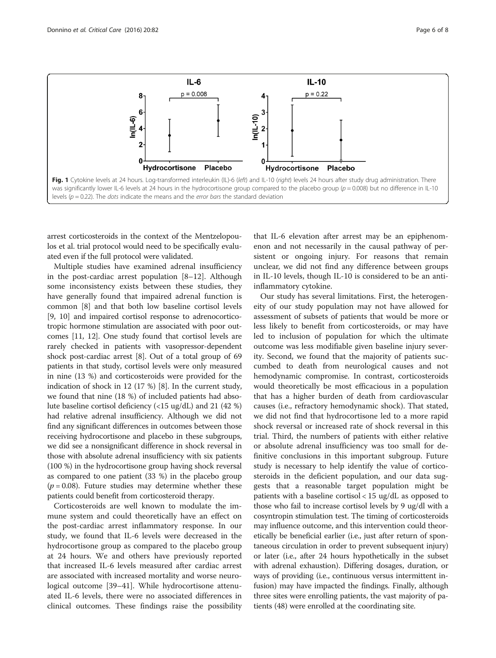<span id="page-5-0"></span>

arrest corticosteroids in the context of the Mentzelopoulos et al. trial protocol would need to be specifically evaluated even if the full protocol were validated.

Multiple studies have examined adrenal insufficiency in the post-cardiac arrest population [\[8](#page-6-0)–[12](#page-6-0)]. Although some inconsistency exists between these studies, they have generally found that impaired adrenal function is common [[8\]](#page-6-0) and that both low baseline cortisol levels [[9, 10\]](#page-6-0) and impaired cortisol response to adrenocorticotropic hormone stimulation are associated with poor outcomes [\[11, 12\]](#page-6-0). One study found that cortisol levels are rarely checked in patients with vasopressor-dependent shock post-cardiac arrest [[8\]](#page-6-0). Out of a total group of 69 patients in that study, cortisol levels were only measured in nine (13 %) and corticosteroids were provided for the indication of shock in 12 (17 %) [\[8](#page-6-0)]. In the current study, we found that nine (18 %) of included patients had absolute baseline cortisol deficiency (<15 ug/dL) and 21 (42 %) had relative adrenal insufficiency. Although we did not find any significant differences in outcomes between those receiving hydrocortisone and placebo in these subgroups, we did see a nonsignificant difference in shock reversal in those with absolute adrenal insufficiency with six patients (100 %) in the hydrocortisone group having shock reversal as compared to one patient (33 %) in the placebo group  $(p = 0.08)$ . Future studies may determine whether these patients could benefit from corticosteroid therapy.

Corticosteroids are well known to modulate the immune system and could theoretically have an effect on the post-cardiac arrest inflammatory response. In our study, we found that IL-6 levels were decreased in the hydrocortisone group as compared to the placebo group at 24 hours. We and others have previously reported that increased IL-6 levels measured after cardiac arrest are associated with increased mortality and worse neurological outcome [[39](#page-7-0)–[41](#page-7-0)]. While hydrocortisone attenuated IL-6 levels, there were no associated differences in clinical outcomes. These findings raise the possibility

that IL-6 elevation after arrest may be an epiphenomenon and not necessarily in the causal pathway of persistent or ongoing injury. For reasons that remain unclear, we did not find any difference between groups in IL-10 levels, though IL-10 is considered to be an antiinflammatory cytokine.

Our study has several limitations. First, the heterogeneity of our study population may not have allowed for assessment of subsets of patients that would be more or less likely to benefit from corticosteroids, or may have led to inclusion of population for which the ultimate outcome was less modifiable given baseline injury severity. Second, we found that the majority of patients succumbed to death from neurological causes and not hemodynamic compromise. In contrast, corticosteroids would theoretically be most efficacious in a population that has a higher burden of death from cardiovascular causes (i.e., refractory hemodynamic shock). That stated, we did not find that hydrocortisone led to a more rapid shock reversal or increased rate of shock reversal in this trial. Third, the numbers of patients with either relative or absolute adrenal insufficiency was too small for definitive conclusions in this important subgroup. Future study is necessary to help identify the value of corticosteroids in the deficient population, and our data suggests that a reasonable target population might be patients with a baseline cortisol < 15 ug/dL as opposed to those who fail to increase cortisol levels by 9 ug/dl with a cosyntropin stimulation test. The timing of corticosteroids may influence outcome, and this intervention could theoretically be beneficial earlier (i.e., just after return of spontaneous circulation in order to prevent subsequent injury) or later (i.e., after 24 hours hypothetically in the subset with adrenal exhaustion). Differing dosages, duration, or ways of providing (i.e., continuous versus intermittent infusion) may have impacted the findings. Finally, although three sites were enrolling patients, the vast majority of patients (48) were enrolled at the coordinating site.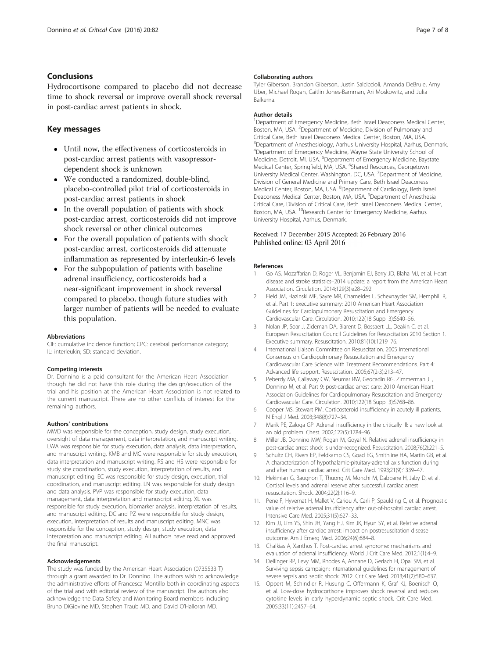# <span id="page-6-0"></span>**Conclusions**

Hydrocortisone compared to placebo did not decrease time to shock reversal or improve overall shock reversal in post-cardiac arrest patients in shock.

# Key messages

- Until now, the effectiveness of corticosteroids in post-cardiac arrest patients with vasopressordependent shock is unknown
- We conducted a randomized, double-blind, placebo-controlled pilot trial of corticosteroids in post-cardiac arrest patients in shock
- In the overall population of patients with shock post-cardiac arrest, corticosteroids did not improve shock reversal or other clinical outcomes
- For the overall population of patients with shock post-cardiac arrest, corticosteroids did attenuate inflammation as represented by interleukin-6 levels
- For the subpopulation of patients with baseline adrenal insufficiency, corticosteroids had a near-significant improvement in shock reversal compared to placebo, though future studies with larger number of patients will be needed to evaluate this population.

#### Abbreviations

CIF: cumulative incidence function; CPC: cerebral performance category; IL: interleukin; SD: standard deviation.

#### Competing interests

Dr. Donnino is a paid consultant for the American Heart Association though he did not have this role during the design/execution of the trial and his position at the American Heart Association is not related to the current manuscript. There are no other conflicts of interest for the remaining authors.

#### Authors' contributions

MWD was responsible for the conception, study design, study execution, oversight of data management, data interpretation, and manuscript writing. LWA was responsible for study execution, data analysis, data interpretation, and manuscript writing. KMB and MC were responsible for study execution, data interpretation and manuscript writing. RS and HS were responsible for study site coordination, study execution, interpretation of results, and manuscript editing. EC was responsible for study design, execution, trial coordination, and manuscript editing. LN was responsible for study design and data analysis. PVP was responsible for study execution, data management, data interpretation and manuscript editing. XL was responsible for study execution, biomarker analysis, interpretation of results, and manuscript editing. DC and PZ were responsible for study design, execution, interpretation of results and manuscript editing. MNC was responsible for the conception, study design, study execution, data interpretation and manuscript editing. All authors have read and approved the final manuscript.

#### Acknowledgements

The study was funded by the American Heart Association (0735533 T) through a grant awarded to Dr. Donnino. The authors wish to acknowledge the administrative efforts of Francesca Montillo both in coordinating aspects of the trial and with editorial review of the manuscript. The authors also acknowledge the Data Safety and Monitoring Board members including Bruno DiGiovine MD, Stephen Traub MD, and David O'Halloran MD.

#### Collaborating authors

Tyler Giberson, Brandon Giberson, Justin Salciccioli, Amanda DeBrule, Amy Uber, Michael Rogan, Caitlin Jones-Bamman, Ari Moskowitz, and Julia Balkema.

#### Author details

<sup>1</sup>Department of Emergency Medicine, Beth Israel Deaconess Medical Center, Boston, MA, USA. <sup>2</sup>Department of Medicine, Division of Pulmonary and Critical Care, Beth Israel Deaconess Medical Center, Boston, MA, USA. <sup>3</sup> Department of Anesthesiology, Aarhus University Hospital, Aarhus, Denmark. 4 Department of Emergency Medicine, Wayne State University School of Medicine, Detroit, MI, USA. <sup>5</sup>Department of Emergency Medicine, Baystate Medical Center, Springfield, MA, USA. <sup>6</sup>Shared Resources, Georgetown University Medical Center, Washington, DC, USA. <sup>7</sup> Department of Medicine, Division of General Medicine and Primary Care, Beth Israel Deaconess Medical Center, Boston, MA, USA. <sup>8</sup>Department of Cardiology, Beth Israel Deaconess Medical Center, Boston, MA, USA. <sup>9</sup>Department of Anesthesia Critical Care, Division of Critical Care, Beth Israel Deaconess Medical Center, Boston, MA, USA. <sup>10</sup>Research Center for Emergency Medicine, Aarhus University Hospital, Aarhus, Denmark.

#### Received: 17 December 2015 Accepted: 26 February 2016 Published online: 03 April 2016

#### References

- 1. Go AS, Mozaffarian D, Roger VL, Benjamin EJ, Berry JD, Blaha MJ, et al. Heart disease and stroke statistics–2014 update: a report from the American Heart Association. Circulation. 2014;129(3):e28–292.
- 2. Field JM, Hazinski MF, Sayre MR, Chameides L, Schexnayder SM, Hemphill R, et al. Part 1: executive summary: 2010 American Heart Association Guidelines for Cardiopulmonary Resuscitation and Emergency Cardiovascular Care. Circulation. 2010;122(18 Suppl 3):S640–56.
- 3. Nolan JP, Soar J, Zideman DA, Biarent D, Bossaert LL, Deakin C, et al. European Resuscitation Council Guidelines for Resuscitation 2010 Section 1. Executive summary. Resuscitation. 2010;81(10):1219–76.
- 4. International Liaison Committee on Resuscitation. 2005 International Consensus on Cardiopulmonary Resuscitation and Emergency Cardiovascular Care Science with Treatment Recommendations. Part 4: Advanced life support. Resuscitation. 2005;67(2-3):213–47.
- 5. Peberdy MA, Callaway CW, Neumar RW, Geocadin RG, Zimmerman JL, Donnino M, et al. Part 9: post-cardiac arrest care: 2010 American Heart Association Guidelines for Cardiopulmonary Resuscitation and Emergency Cardiovascular Care. Circulation. 2010;122(18 Suppl 3):S768–86.
- 6. Cooper MS, Stewart PM. Corticosteroid insufficiency in acutely ill patients. N Engl J Med. 2003;348(8):727–34.
- 7. Marik PE, Zaloga GP. Adrenal insufficiency in the critically ill: a new look at an old problem. Chest. 2002;122(5):1784–96.
- 8. Miller JB, Donnino MW, Rogan M, Goyal N. Relative adrenal insufficiency in post-cardiac arrest shock is under-recognized. Resuscitation. 2008;76(2):221–5.
- 9. Schultz CH, Rivers EP, Feldkamp CS, Goad EG, Smithline HA, Martin GB, et al. A characterization of hypothalamic-pituitary-adrenal axis function during and after human cardiac arrest. Crit Care Med. 1993;21(9):1339–47.
- 10. Hekimian G, Baugnon T, Thuong M, Monchi M, Dabbane H, Jaby D, et al. Cortisol levels and adrenal reserve after successful cardiac arrest resuscitation. Shock. 2004;22(2):116–9.
- 11. Pene F, Hyvernat H, Mallet V, Cariou A, Carli P, Spaulding C, et al. Prognostic value of relative adrenal insufficiency after out-of-hospital cardiac arrest. Intensive Care Med. 2005;31(5):627–33.
- 12. Kim JJ, Lim YS, Shin JH, Yang HJ, Kim JK, Hyun SY, et al. Relative adrenal insufficiency after cardiac arrest: impact on postresuscitation disease outcome. Am J Emerg Med. 2006;24(6):684–8.
- 13. Chalkias A, Xanthos T. Post-cardiac arrest syndrome: mechanisms and evaluation of adrenal insufficiency. World J Crit Care Med. 2012;1(1):4–9.
- 14. Dellinger RP, Levy MM, Rhodes A, Annane D, Gerlach H, Opal SM, et al. Surviving sepsis campaign: international guidelines for management of severe sepsis and septic shock: 2012. Crit Care Med. 2013;41(2):580–637.
- 15. Oppert M, Schindler R, Husung C, Offermann K, Graf KJ, Boenisch O, et al. Low-dose hydrocortisone improves shock reversal and reduces cytokine levels in early hyperdynamic septic shock. Crit Care Med. 2005;33(11):2457–64.